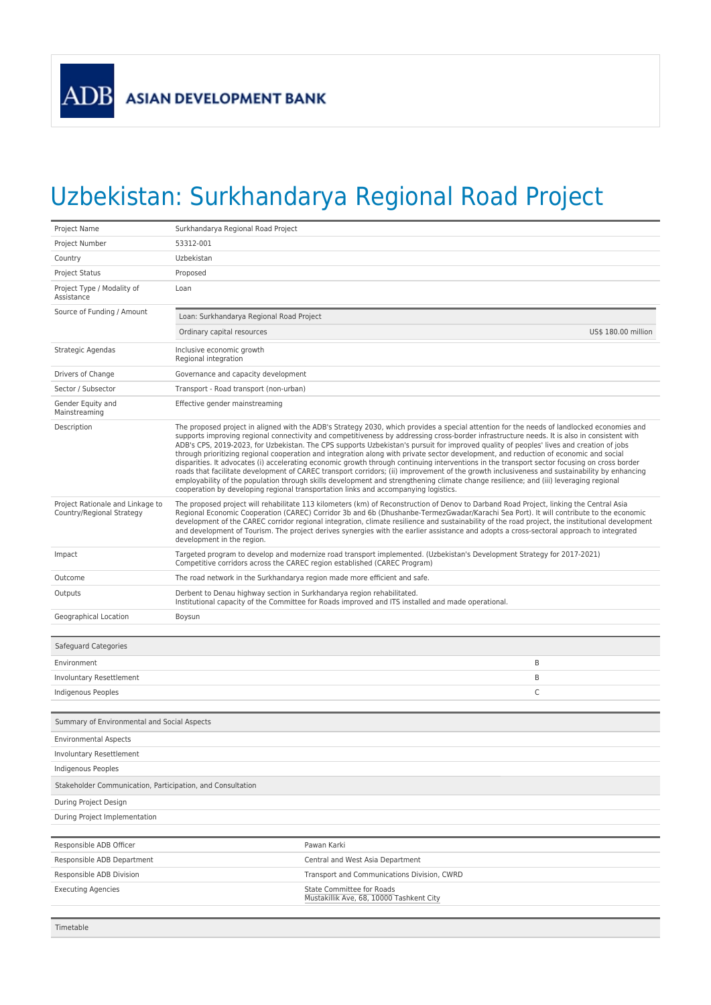## Uzbekistan: Surkhandarya Regional Road Project

| Project Name                                                                     | Surkhandarya Regional Road Project                                                                                                                                                                                                                                                                                                                                                                                                                                                                                                                                                                                                                                                                                                                                                                                                                                                                                                                                                                                                                                                                            |                                                                       |                     |  |
|----------------------------------------------------------------------------------|---------------------------------------------------------------------------------------------------------------------------------------------------------------------------------------------------------------------------------------------------------------------------------------------------------------------------------------------------------------------------------------------------------------------------------------------------------------------------------------------------------------------------------------------------------------------------------------------------------------------------------------------------------------------------------------------------------------------------------------------------------------------------------------------------------------------------------------------------------------------------------------------------------------------------------------------------------------------------------------------------------------------------------------------------------------------------------------------------------------|-----------------------------------------------------------------------|---------------------|--|
| Project Number                                                                   | 53312-001                                                                                                                                                                                                                                                                                                                                                                                                                                                                                                                                                                                                                                                                                                                                                                                                                                                                                                                                                                                                                                                                                                     |                                                                       |                     |  |
| Country                                                                          | Uzbekistan                                                                                                                                                                                                                                                                                                                                                                                                                                                                                                                                                                                                                                                                                                                                                                                                                                                                                                                                                                                                                                                                                                    |                                                                       |                     |  |
| <b>Project Status</b>                                                            | Proposed                                                                                                                                                                                                                                                                                                                                                                                                                                                                                                                                                                                                                                                                                                                                                                                                                                                                                                                                                                                                                                                                                                      |                                                                       |                     |  |
| Project Type / Modality of<br>Assistance                                         | Loan                                                                                                                                                                                                                                                                                                                                                                                                                                                                                                                                                                                                                                                                                                                                                                                                                                                                                                                                                                                                                                                                                                          |                                                                       |                     |  |
| Source of Funding / Amount                                                       | Loan: Surkhandarya Regional Road Project                                                                                                                                                                                                                                                                                                                                                                                                                                                                                                                                                                                                                                                                                                                                                                                                                                                                                                                                                                                                                                                                      |                                                                       |                     |  |
|                                                                                  | Ordinary capital resources                                                                                                                                                                                                                                                                                                                                                                                                                                                                                                                                                                                                                                                                                                                                                                                                                                                                                                                                                                                                                                                                                    |                                                                       | US\$ 180.00 million |  |
| Strategic Agendas                                                                | Inclusive economic growth<br>Regional integration                                                                                                                                                                                                                                                                                                                                                                                                                                                                                                                                                                                                                                                                                                                                                                                                                                                                                                                                                                                                                                                             |                                                                       |                     |  |
| Drivers of Change                                                                | Governance and capacity development                                                                                                                                                                                                                                                                                                                                                                                                                                                                                                                                                                                                                                                                                                                                                                                                                                                                                                                                                                                                                                                                           |                                                                       |                     |  |
| Sector / Subsector                                                               | Transport - Road transport (non-urban)                                                                                                                                                                                                                                                                                                                                                                                                                                                                                                                                                                                                                                                                                                                                                                                                                                                                                                                                                                                                                                                                        |                                                                       |                     |  |
| Gender Equity and<br>Mainstreaming                                               | Effective gender mainstreaming                                                                                                                                                                                                                                                                                                                                                                                                                                                                                                                                                                                                                                                                                                                                                                                                                                                                                                                                                                                                                                                                                |                                                                       |                     |  |
| Description                                                                      | The proposed project in aligned with the ADB's Strategy 2030, which provides a special attention for the needs of landlocked economies and<br>supports improving regional connectivity and competitiveness by addressing cross-border infrastructure needs. It is also in consistent with<br>ADB's CPS, 2019-2023, for Uzbekistan. The CPS supports Uzbekistan's pursuit for improved quality of peoples' lives and creation of jobs<br>through prioritizing regional cooperation and integration along with private sector development, and reduction of economic and social<br>disparities. It advocates (i) accelerating economic growth through continuing interventions in the transport sector focusing on cross border<br>roads that facilitate development of CAREC transport corridors; (ii) improvement of the growth inclusiveness and sustainability by enhancing<br>employability of the population through skills development and strengthening climate change resilience; and (iii) leveraging regional<br>cooperation by developing regional transportation links and accompanying logistics. |                                                                       |                     |  |
| Project Rationale and Linkage to<br>Country/Regional Strategy                    | The proposed project will rehabilitate 113 kilometers (km) of Reconstruction of Denov to Darband Road Project, linking the Central Asia<br>Regional Economic Cooperation (CAREC) Corridor 3b and 6b (Dhushanbe-TermezGwadar/Karachi Sea Port). It will contribute to the economic<br>development of the CAREC corridor regional integration, climate resilience and sustainability of the road project, the institutional development<br>and development of Tourism. The project derives synergies with the earlier assistance and adopts a cross-sectoral approach to integrated<br>development in the region.                                                                                                                                                                                                                                                                                                                                                                                                                                                                                               |                                                                       |                     |  |
| Impact                                                                           | Targeted program to develop and modernize road transport implemented. (Uzbekistan's Development Strategy for 2017-2021)<br>Competitive corridors across the CAREC region established (CAREC Program)                                                                                                                                                                                                                                                                                                                                                                                                                                                                                                                                                                                                                                                                                                                                                                                                                                                                                                          |                                                                       |                     |  |
| Outcome                                                                          | The road network in the Surkhandarya region made more efficient and safe.                                                                                                                                                                                                                                                                                                                                                                                                                                                                                                                                                                                                                                                                                                                                                                                                                                                                                                                                                                                                                                     |                                                                       |                     |  |
| Outputs                                                                          | Derbent to Denau highway section in Surkhandarya region rehabilitated.<br>Institutional capacity of the Committee for Roads improved and ITS installed and made operational.                                                                                                                                                                                                                                                                                                                                                                                                                                                                                                                                                                                                                                                                                                                                                                                                                                                                                                                                  |                                                                       |                     |  |
| Geographical Location                                                            | Boysun                                                                                                                                                                                                                                                                                                                                                                                                                                                                                                                                                                                                                                                                                                                                                                                                                                                                                                                                                                                                                                                                                                        |                                                                       |                     |  |
| Safeguard Categories                                                             |                                                                                                                                                                                                                                                                                                                                                                                                                                                                                                                                                                                                                                                                                                                                                                                                                                                                                                                                                                                                                                                                                                               |                                                                       |                     |  |
| Environment                                                                      |                                                                                                                                                                                                                                                                                                                                                                                                                                                                                                                                                                                                                                                                                                                                                                                                                                                                                                                                                                                                                                                                                                               | B                                                                     |                     |  |
| Involuntary Resettlement                                                         |                                                                                                                                                                                                                                                                                                                                                                                                                                                                                                                                                                                                                                                                                                                                                                                                                                                                                                                                                                                                                                                                                                               | B                                                                     |                     |  |
| Indigenous Peoples                                                               |                                                                                                                                                                                                                                                                                                                                                                                                                                                                                                                                                                                                                                                                                                                                                                                                                                                                                                                                                                                                                                                                                                               | C                                                                     |                     |  |
| Summary of Environmental and Social Aspects                                      |                                                                                                                                                                                                                                                                                                                                                                                                                                                                                                                                                                                                                                                                                                                                                                                                                                                                                                                                                                                                                                                                                                               |                                                                       |                     |  |
|                                                                                  |                                                                                                                                                                                                                                                                                                                                                                                                                                                                                                                                                                                                                                                                                                                                                                                                                                                                                                                                                                                                                                                                                                               |                                                                       |                     |  |
| <b>Environmental Aspects</b>                                                     |                                                                                                                                                                                                                                                                                                                                                                                                                                                                                                                                                                                                                                                                                                                                                                                                                                                                                                                                                                                                                                                                                                               |                                                                       |                     |  |
| Involuntary Resettlement                                                         |                                                                                                                                                                                                                                                                                                                                                                                                                                                                                                                                                                                                                                                                                                                                                                                                                                                                                                                                                                                                                                                                                                               |                                                                       |                     |  |
| Indigenous Peoples<br>Stakeholder Communication, Participation, and Consultation |                                                                                                                                                                                                                                                                                                                                                                                                                                                                                                                                                                                                                                                                                                                                                                                                                                                                                                                                                                                                                                                                                                               |                                                                       |                     |  |
| During Project Design                                                            |                                                                                                                                                                                                                                                                                                                                                                                                                                                                                                                                                                                                                                                                                                                                                                                                                                                                                                                                                                                                                                                                                                               |                                                                       |                     |  |
| During Project Implementation                                                    |                                                                                                                                                                                                                                                                                                                                                                                                                                                                                                                                                                                                                                                                                                                                                                                                                                                                                                                                                                                                                                                                                                               |                                                                       |                     |  |
|                                                                                  |                                                                                                                                                                                                                                                                                                                                                                                                                                                                                                                                                                                                                                                                                                                                                                                                                                                                                                                                                                                                                                                                                                               |                                                                       |                     |  |
| Responsible ADB Officer                                                          |                                                                                                                                                                                                                                                                                                                                                                                                                                                                                                                                                                                                                                                                                                                                                                                                                                                                                                                                                                                                                                                                                                               | Pawan Karki                                                           |                     |  |
| Responsible ADB Department                                                       |                                                                                                                                                                                                                                                                                                                                                                                                                                                                                                                                                                                                                                                                                                                                                                                                                                                                                                                                                                                                                                                                                                               | Central and West Asia Department                                      |                     |  |
| Responsible ADB Division                                                         |                                                                                                                                                                                                                                                                                                                                                                                                                                                                                                                                                                                                                                                                                                                                                                                                                                                                                                                                                                                                                                                                                                               | Transport and Communications Division, CWRD                           |                     |  |
| <b>Executing Agencies</b>                                                        |                                                                                                                                                                                                                                                                                                                                                                                                                                                                                                                                                                                                                                                                                                                                                                                                                                                                                                                                                                                                                                                                                                               | State Committee for Roads<br>Mustakillik Ave, 68, 10000 Tashkent City |                     |  |
| Timetable                                                                        |                                                                                                                                                                                                                                                                                                                                                                                                                                                                                                                                                                                                                                                                                                                                                                                                                                                                                                                                                                                                                                                                                                               |                                                                       |                     |  |
|                                                                                  |                                                                                                                                                                                                                                                                                                                                                                                                                                                                                                                                                                                                                                                                                                                                                                                                                                                                                                                                                                                                                                                                                                               |                                                                       |                     |  |